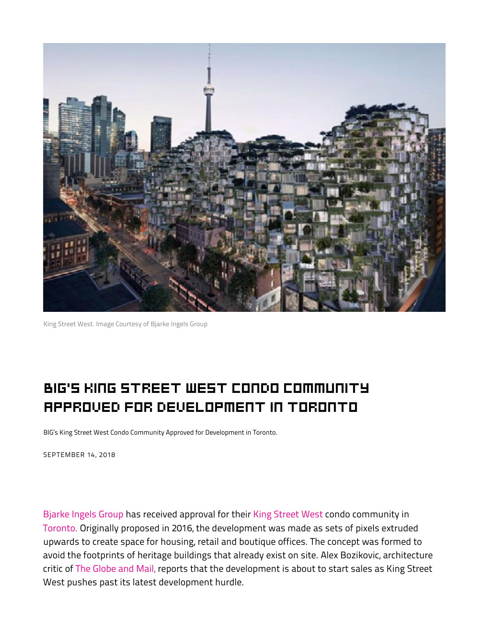

King Street West. Image Courtesy of Bjarke Ingels Group

## BIG'S KING STREET WEST CONDO COMMUNITY APPROVED FOR DEVELOPMENT IN TORONTO **conducts**

extruded upwards to create space for housing, retail and boutique of housing, retail and boutique of the conce BIG's King Street West Condo Community Approved for Development in Toronto.

formation the footprints of the footprints of the footprints of heritage buildings that alleged buildings that alleged buildings that alleged buildings that alleged buildings that alleged buildings that alleged buildings o SEPTEMBER 14, 2018

[Bjarke Ingels Group](https://big.dk/#projects) has received approval for their [King Street West](http://kingtoronto.com/) condo community in [Toronto.](https://www.archdaily.com/tag/toronto) Originally proposed in 2016, the development was made as sets of pixels extruded upwards to create space for housing, retail and boutique offices. The concept was formed to avoid the footprints of heritage buildings that already exist on site. Alex Bozikovic, architecture critic of [The Globe and Mail,](https://www.theglobeandmail.com/arts/art-and-architecture/article-thinking-big-in-toronto-designers-reinvent-condos-in-3-d/?utm_medium=website&utm_source=archdaily.com) reports that the development is about to start sales as King Street West pushes past its latest development hurdle.